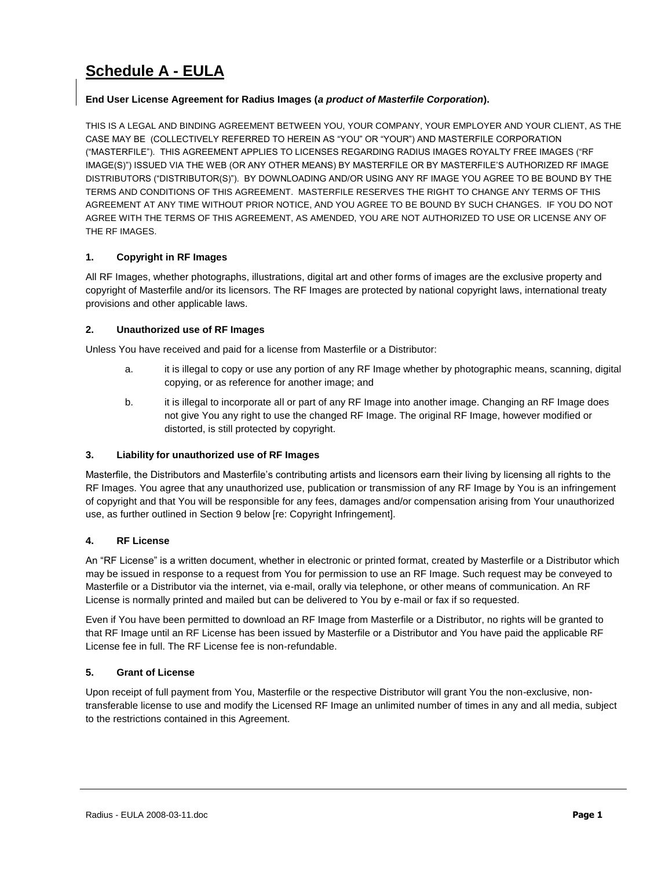# **Schedule A - EULA**

# **End User License Agreement for Radius Images (***a product of Masterfile Corporation***).**

THIS IS A LEGAL AND BINDING AGREEMENT BETWEEN YOU, YOUR COMPANY, YOUR EMPLOYER AND YOUR CLIENT, AS THE CASE MAY BE (COLLECTIVELY REFERRED TO HEREIN AS "YOU" OR "YOUR") AND MASTERFILE CORPORATION ("MASTERFILE"). THIS AGREEMENT APPLIES TO LICENSES REGARDING RADIUS IMAGES ROYALTY FREE IMAGES ("RF IMAGE(S)") ISSUED VIA THE WEB (OR ANY OTHER MEANS) BY MASTERFILE OR BY MASTERFILE'S AUTHORIZED RF IMAGE DISTRIBUTORS ("DISTRIBUTOR(S)"). BY DOWNLOADING AND/OR USING ANY RF IMAGE YOU AGREE TO BE BOUND BY THE TERMS AND CONDITIONS OF THIS AGREEMENT. MASTERFILE RESERVES THE RIGHT TO CHANGE ANY TERMS OF THIS AGREEMENT AT ANY TIME WITHOUT PRIOR NOTICE, AND YOU AGREE TO BE BOUND BY SUCH CHANGES. IF YOU DO NOT AGREE WITH THE TERMS OF THIS AGREEMENT, AS AMENDED, YOU ARE NOT AUTHORIZED TO USE OR LICENSE ANY OF THE RF IMAGES.

# **1. Copyright in RF Images**

All RF Images, whether photographs, illustrations, digital art and other forms of images are the exclusive property and copyright of Masterfile and/or its licensors. The RF Images are protected by national copyright laws, international treaty provisions and other applicable laws.

# **2. Unauthorized use of RF Images**

Unless You have received and paid for a license from Masterfile or a Distributor:

- a. it is illegal to copy or use any portion of any RF Image whether by photographic means, scanning, digital copying, or as reference for another image; and
- b. it is illegal to incorporate all or part of any RF Image into another image. Changing an RF Image does not give You any right to use the changed RF Image. The original RF Image, however modified or distorted, is still protected by copyright.

## **3. Liability for unauthorized use of RF Images**

Masterfile, the Distributors and Masterfile's contributing artists and licensors earn their living by licensing all rights to the RF Images. You agree that any unauthorized use, publication or transmission of any RF Image by You is an infringement of copyright and that You will be responsible for any fees, damages and/or compensation arising from Your unauthorized use, as further outlined in Section 9 below [re: Copyright Infringement].

# **4. RF License**

An "RF License" is a written document, whether in electronic or printed format, created by Masterfile or a Distributor which may be issued in response to a request from You for permission to use an RF Image. Such request may be conveyed to Masterfile or a Distributor via the internet, via e-mail, orally via telephone, or other means of communication. An RF License is normally printed and mailed but can be delivered to You by e-mail or fax if so requested.

Even if You have been permitted to download an RF Image from Masterfile or a Distributor, no rights will be granted to that RF Image until an RF License has been issued by Masterfile or a Distributor and You have paid the applicable RF License fee in full. The RF License fee is non-refundable.

## **5. Grant of License**

Upon receipt of full payment from You, Masterfile or the respective Distributor will grant You the non-exclusive, nontransferable license to use and modify the Licensed RF Image an unlimited number of times in any and all media, subject to the restrictions contained in this Agreement.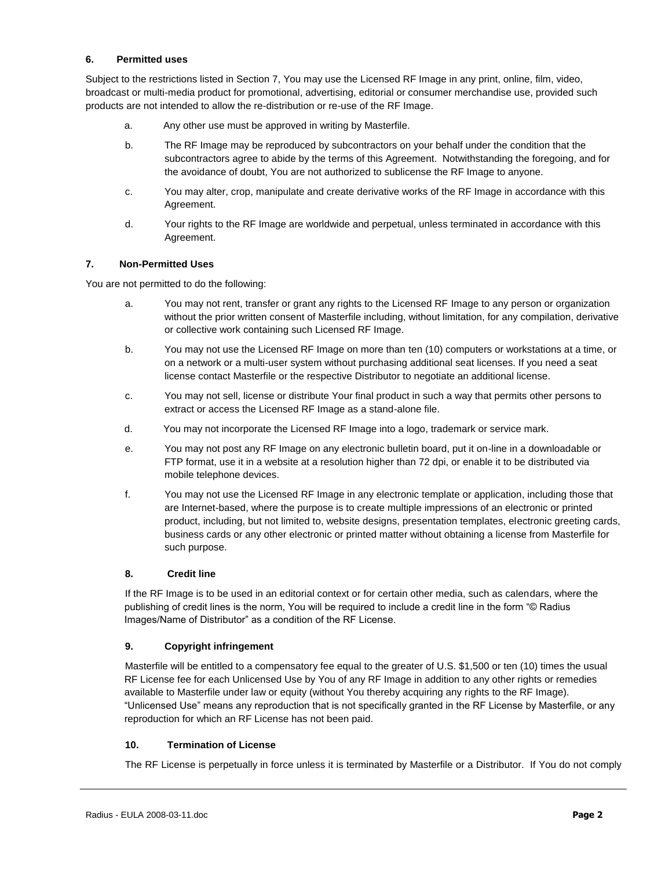#### **6. Permitted uses**

Subject to the restrictions listed in Section 7, You may use the Licensed RF Image in any print, online, film, video, broadcast or multi-media product for promotional, advertising, editorial or consumer merchandise use, provided such products are not intended to allow the re-distribution or re-use of the RF Image.

- a. Any other use must be approved in writing by Masterfile.
- b. The RF Image may be reproduced by subcontractors on your behalf under the condition that the subcontractors agree to abide by the terms of this Agreement. Notwithstanding the foregoing, and for the avoidance of doubt, You are not authorized to sublicense the RF Image to anyone.
- c. You may alter, crop, manipulate and create derivative works of the RF Image in accordance with this Agreement.
- d. Your rights to the RF Image are worldwide and perpetual, unless terminated in accordance with this Agreement.

## **7. Non-Permitted Uses**

You are not permitted to do the following:

- a. You may not rent, transfer or grant any rights to the Licensed RF Image to any person or organization without the prior written consent of Masterfile including, without limitation, for any compilation, derivative or collective work containing such Licensed RF Image.
- b. You may not use the Licensed RF Image on more than ten (10) computers or workstations at a time, or on a network or a multi-user system without purchasing additional seat licenses. If you need a seat license contact Masterfile or the respective Distributor to negotiate an additional license.
- c. You may not sell, license or distribute Your final product in such a way that permits other persons to extract or access the Licensed RF Image as a stand-alone file.
- d. You may not incorporate the Licensed RF Image into a logo, trademark or service mark.
- e. You may not post any RF Image on any electronic bulletin board, put it on-line in a downloadable or FTP format, use it in a website at a resolution higher than 72 dpi, or enable it to be distributed via mobile telephone devices.
- f. You may not use the Licensed RF Image in any electronic template or application, including those that are Internet-based, where the purpose is to create multiple impressions of an electronic or printed product, including, but not limited to, website designs, presentation templates, electronic greeting cards, business cards or any other electronic or printed matter without obtaining a license from Masterfile for such purpose.

## **8. Credit line**

If the RF Image is to be used in an editorial context or for certain other media, such as calendars, where the publishing of credit lines is the norm, You will be required to include a credit line in the form "© Radius Images/Name of Distributor" as a condition of the RF License.

## **9. Copyright infringement**

Masterfile will be entitled to a compensatory fee equal to the greater of U.S. \$1,500 or ten (10) times the usual RF License fee for each Unlicensed Use by You of any RF Image in addition to any other rights or remedies available to Masterfile under law or equity (without You thereby acquiring any rights to the RF Image). "Unlicensed Use" means any reproduction that is not specifically granted in the RF License by Masterfile, or any reproduction for which an RF License has not been paid.

#### **10. Termination of License**

The RF License is perpetually in force unless it is terminated by Masterfile or a Distributor. If You do not comply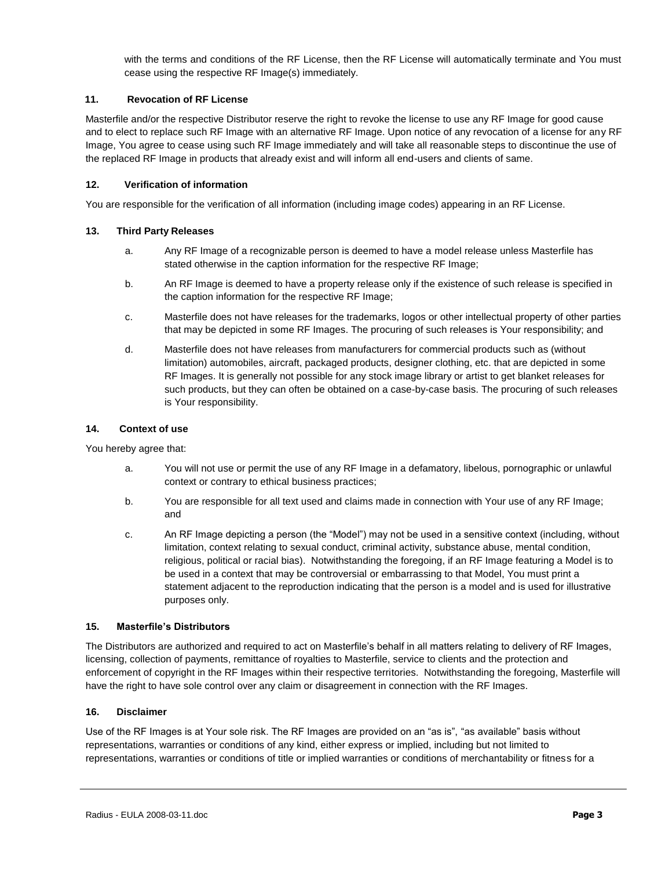with the terms and conditions of the RF License, then the RF License will automatically terminate and You must cease using the respective RF Image(s) immediately.

#### **11. Revocation of RF License**

Masterfile and/or the respective Distributor reserve the right to revoke the license to use any RF Image for good cause and to elect to replace such RF Image with an alternative RF Image. Upon notice of any revocation of a license for any RF Image, You agree to cease using such RF Image immediately and will take all reasonable steps to discontinue the use of the replaced RF Image in products that already exist and will inform all end-users and clients of same.

#### **12. Verification of information**

You are responsible for the verification of all information (including image codes) appearing in an RF License.

#### **13. Third Party Releases**

- a. Any RF Image of a recognizable person is deemed to have a model release unless Masterfile has stated otherwise in the caption information for the respective RF Image;
- b. An RF Image is deemed to have a property release only if the existence of such release is specified in the caption information for the respective RF Image;
- c. Masterfile does not have releases for the trademarks, logos or other intellectual property of other parties that may be depicted in some RF Images. The procuring of such releases is Your responsibility; and
- d. Masterfile does not have releases from manufacturers for commercial products such as (without limitation) automobiles, aircraft, packaged products, designer clothing, etc. that are depicted in some RF Images. It is generally not possible for any stock image library or artist to get blanket releases for such products, but they can often be obtained on a case-by-case basis. The procuring of such releases is Your responsibility.

#### **14. Context of use**

You hereby agree that:

- a. You will not use or permit the use of any RF Image in a defamatory, libelous, pornographic or unlawful context or contrary to ethical business practices;
- b. You are responsible for all text used and claims made in connection with Your use of any RF Image; and
- c. An RF Image depicting a person (the "Model") may not be used in a sensitive context (including, without limitation, context relating to sexual conduct, criminal activity, substance abuse, mental condition, religious, political or racial bias). Notwithstanding the foregoing, if an RF Image featuring a Model is to be used in a context that may be controversial or embarrassing to that Model, You must print a statement adjacent to the reproduction indicating that the person is a model and is used for illustrative purposes only.

#### **15. Masterfile's Distributors**

The Distributors are authorized and required to act on Masterfile's behalf in all matters relating to delivery of RF Images, licensing, collection of payments, remittance of royalties to Masterfile, service to clients and the protection and enforcement of copyright in the RF Images within their respective territories. Notwithstanding the foregoing, Masterfile will have the right to have sole control over any claim or disagreement in connection with the RF Images.

#### **16. Disclaimer**

Use of the RF Images is at Your sole risk. The RF Images are provided on an "as is", "as available" basis without representations, warranties or conditions of any kind, either express or implied, including but not limited to representations, warranties or conditions of title or implied warranties or conditions of merchantability or fitness for a